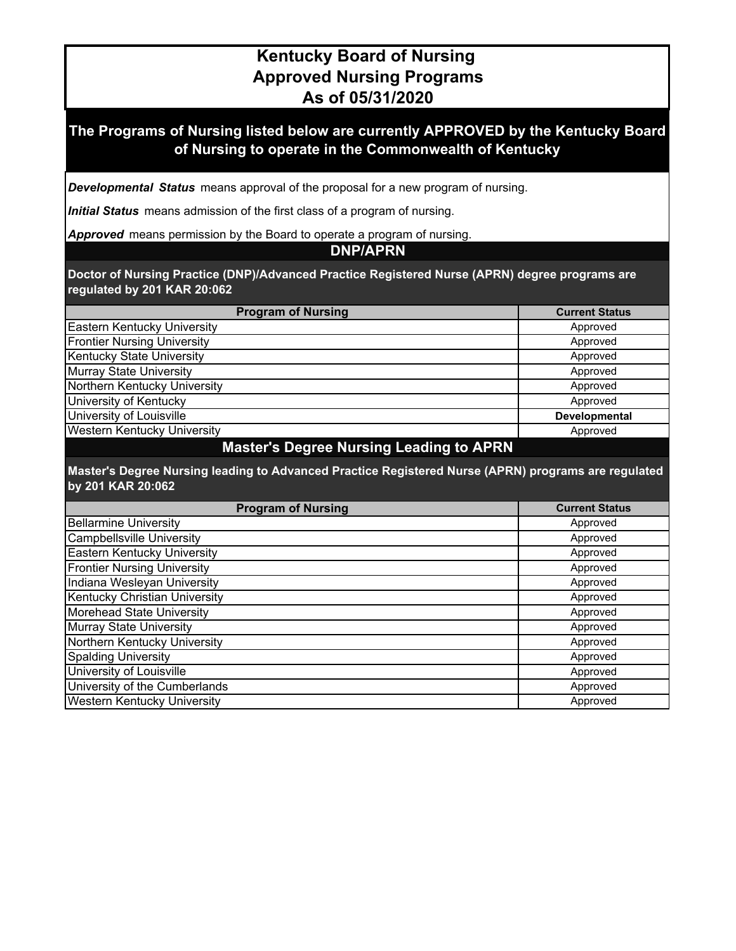## **Kentucky Board of Nursing Approved Nursing Programs As of 05/31/2020**

## **The Programs of Nursing listed below are currently APPROVED by the Kentucky Board of Nursing to operate in the Commonwealth of Kentucky**

*Developmental Status* means approval of the proposal for a new program of nursing.

*Initial Status* means admission of the first class of a program of nursing.

*Approved* means permission by the Board to operate a program of nursing.

**DNP/APRN**

**Doctor of Nursing Practice (DNP)/Advanced Practice Registered Nurse (APRN) degree programs are regulated by 201 KAR 20:062**

| <b>Program of Nursing</b>          | <b>Current Status</b> |
|------------------------------------|-----------------------|
| Eastern Kentucky University        | Approved              |
| <b>Frontier Nursing University</b> | Approved              |
| <b>Kentucky State University</b>   | Approved              |
| <b>Murray State University</b>     | Approved              |
| Northern Kentucky University       | Approved              |
| University of Kentucky             | Approved              |
| University of Louisville           | Developmental         |
| Western Kentucky University        | Approved              |

## **Master's Degree Nursing Leading to APRN**

**Master's Degree Nursing leading to Advanced Practice Registered Nurse (APRN) programs are regulated by 201 KAR 20:062**

| <b>Program of Nursing</b>          | <b>Current Status</b> |
|------------------------------------|-----------------------|
| <b>Bellarmine University</b>       | Approved              |
| Campbellsville University          | Approved              |
| Eastern Kentucky University        | Approved              |
| <b>Frontier Nursing University</b> | Approved              |
| Indiana Wesleyan University        | Approved              |
| Kentucky Christian University      | Approved              |
| Morehead State University          | Approved              |
| Murray State University            | Approved              |
| Northern Kentucky University       | Approved              |
| <b>Spalding University</b>         | Approved              |
| University of Louisville           | Approved              |
| University of the Cumberlands      | Approved              |
| Western Kentucky University        | Approved              |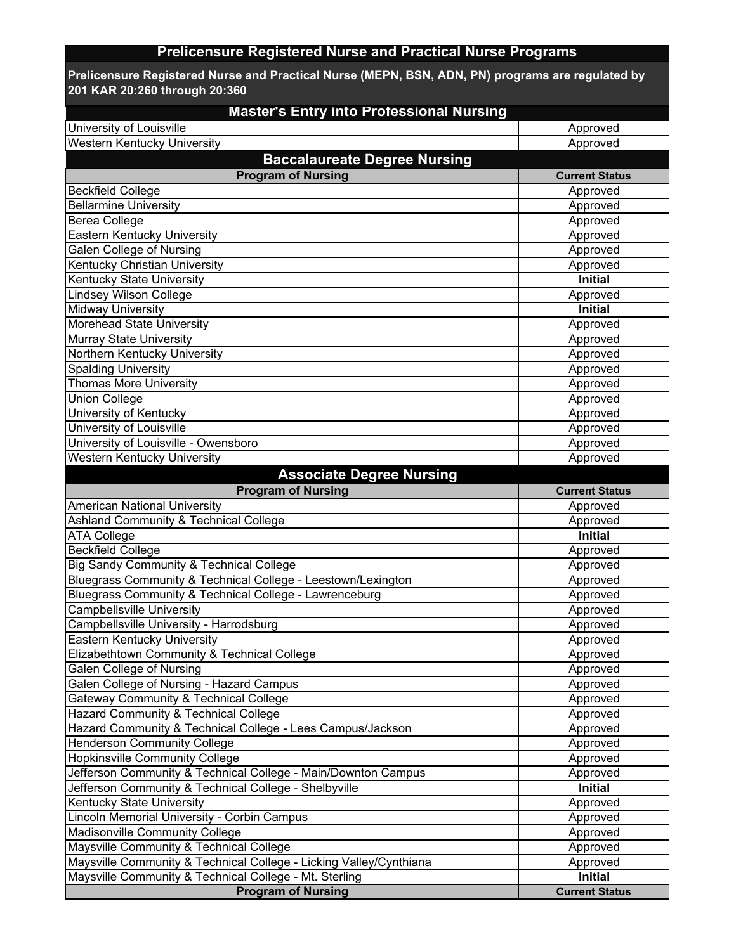## **Prelicensure Registered Nurse and Practical Nurse Programs**

**Prelicensure Registered Nurse and Practical Nurse (MEPN, BSN, ADN, PN) programs are regulated by 201 KAR 20:260 through 20:360**

| <b>Master's Entry into Professional Nursing</b>                    |                       |  |
|--------------------------------------------------------------------|-----------------------|--|
| University of Louisville                                           | Approved              |  |
| Western Kentucky University                                        | Approved              |  |
| <b>Baccalaureate Degree Nursing</b>                                |                       |  |
| <b>Program of Nursing</b>                                          | <b>Current Status</b> |  |
| <b>Beckfield College</b>                                           | Approved              |  |
| <b>Bellarmine University</b>                                       | Approved              |  |
| <b>Berea College</b>                                               | Approved              |  |
| Eastern Kentucky University                                        | Approved              |  |
| <b>Galen College of Nursing</b>                                    | Approved              |  |
| Kentucky Christian University                                      | Approved              |  |
| <b>Kentucky State University</b>                                   | <b>Initial</b>        |  |
| <b>Lindsey Wilson College</b>                                      | Approved              |  |
| <b>Midway University</b>                                           | <b>Initial</b>        |  |
| Morehead State University                                          | Approved              |  |
| Murray State University                                            | Approved              |  |
| Northern Kentucky University                                       | Approved              |  |
| <b>Spalding University</b>                                         | Approved              |  |
| <b>Thomas More University</b>                                      | Approved              |  |
| <b>Union College</b>                                               | Approved              |  |
| University of Kentucky                                             | Approved              |  |
| University of Louisville                                           | Approved              |  |
| University of Louisville - Owensboro                               | Approved              |  |
| <b>Western Kentucky University</b>                                 | Approved              |  |
| <b>Associate Degree Nursing</b>                                    |                       |  |
| <b>Program of Nursing</b>                                          | <b>Current Status</b> |  |
| <b>American National University</b>                                | Approved              |  |
| Ashland Community & Technical College                              | Approved              |  |
| <b>ATA College</b>                                                 | <b>Initial</b>        |  |
| <b>Beckfield College</b>                                           | Approved              |  |
| <b>Big Sandy Community &amp; Technical College</b>                 | Approved              |  |
| Bluegrass Community & Technical College - Leestown/Lexington       | Approved              |  |
| Bluegrass Community & Technical College - Lawrenceburg             | Approved              |  |
| <b>Campbellsville University</b>                                   | Approved              |  |
| Campbellsville University - Harrodsburg                            | Approved              |  |
| Eastern Kentucky University                                        | Approved              |  |
| Elizabethtown Community & Technical College                        | Approved              |  |
| Galen College of Nursing                                           | Approved              |  |
| Galen College of Nursing - Hazard Campus                           | Approved              |  |
| Gateway Community & Technical College                              | Approved              |  |
| Hazard Community & Technical College                               | Approved              |  |
| Hazard Community & Technical College - Lees Campus/Jackson         | Approved              |  |
| <b>Henderson Community College</b>                                 | Approved              |  |
| <b>Hopkinsville Community College</b>                              | Approved              |  |
| Jefferson Community & Technical College - Main/Downton Campus      | Approved              |  |
| Jefferson Community & Technical College - Shelbyville              | <b>Initial</b>        |  |
| Kentucky State University                                          | Approved              |  |
| Lincoln Memorial University - Corbin Campus                        | Approved              |  |
| Madisonville Community College                                     | Approved              |  |
| Maysville Community & Technical College                            | Approved              |  |
| Maysville Community & Technical College - Licking Valley/Cynthiana | Approved              |  |
| Maysville Community & Technical College - Mt. Sterling             | <b>Initial</b>        |  |
| <b>Program of Nursing</b>                                          | <b>Current Status</b> |  |